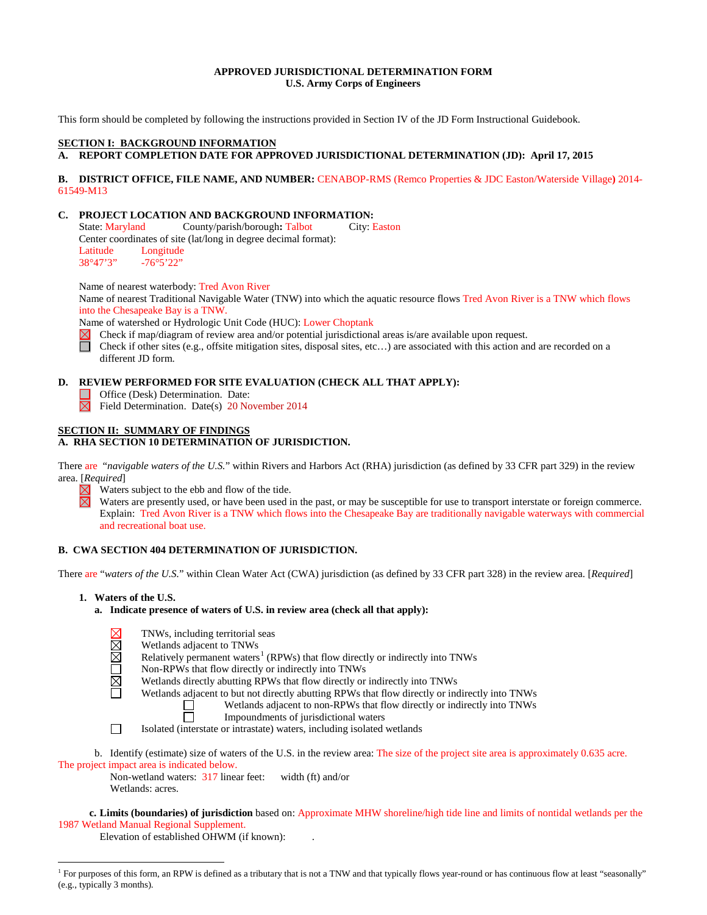## **APPROVED JURISDICTIONAL DETERMINATION FORM U.S. Army Corps of Engineers**

This form should be completed by following the instructions provided in Section IV of the JD Form Instructional Guidebook.

## **SECTION I: BACKGROUND INFORMATION**

## **A. REPORT COMPLETION DATE FOR APPROVED JURISDICTIONAL DETERMINATION (JD): April 17, 2015**

#### **B. DISTRICT OFFICE, FILE NAME, AND NUMBER:** CENABOP-RMS (Remco Properties & JDC Easton/Waterside Village**)** 2014- 61549-M13

# **C. PROJECT LOCATION AND BACKGROUND INFORMATION:**<br>State: Maryland County/parish/borough: Talbot City: Easton

State: Maryland County/parish/borough: Talbot Center coordinates of site (lat/long in degree decimal format): Latitude Longitude<br>38°47'3" -76°5'22"  $-76°5'22"$ 

Name of nearest waterbody: Tred Avon River

Name of nearest Traditional Navigable Water (TNW) into which the aquatic resource flows Tred Avon River is a TNW which flows into the Chesapeake Bay is a TNW.

Name of watershed or Hydrologic Unit Code (HUC): Lower Choptank

Check if map/diagram of review area and/or potential jurisdictional areas is/are available upon request.

Π Check if other sites (e.g., offsite mitigation sites, disposal sites, etc…) are associated with this action and are recorded on a different JD form.

## **D. REVIEW PERFORMED FOR SITE EVALUATION (CHECK ALL THAT APPLY):**

**Office (Desk) Determination. Date:**  $\boxtimes$  Field Determination. Date(s) 20 November 2014

## **SECTION II: SUMMARY OF FINDINGS**

## **A. RHA SECTION 10 DETERMINATION OF JURISDICTION.**

There are "*navigable waters of the U.S.*" within Rivers and Harbors Act (RHA) jurisdiction (as defined by 33 CFR part 329) in the review area. [*Required*]

Waters subject to the ebb and flow of the tide.

Waters are presently used, or have been used in the past, or may be susceptible for use to transport interstate or foreign commerce. Explain: Tred Avon River is a TNW which flows into the Chesapeake Bay are traditionally navigable waterways with commercial and recreational boat use.

## **B. CWA SECTION 404 DETERMINATION OF JURISDICTION.**

There are "*waters of the U.S.*" within Clean Water Act (CWA) jurisdiction (as defined by 33 CFR part 328) in the review area. [*Required*]

- **1. Waters of the U.S.**
	- **a. Indicate presence of waters of U.S. in review area (check all that apply):**

- TNWs, including territorial seas
- Wetlands adjacent to TNWs
- Relatively permanent waters<sup>[1](#page-0-0)</sup> (RPWs) that flow directly or indirectly into TNWs
- Non-RPWs that flow directly or indirectly into TNWs

Wetlands directly abutting RPWs that flow directly or indirectly into TNWs Å

Wetlands adjacent to but not directly abutting RPWs that flow directly or indirectly into TNWs<br>
Wetlands adjacent to non-RPWs that flow directly or indirectly into TNWs

Wetlands adjacent to non-RPWs that flow directly or indirectly into TNWs П

- Impoundments of jurisdictional waters
- П Isolated (interstate or intrastate) waters, including isolated wetlands

b. Identify (estimate) size of waters of the U.S. in the review area: The size of the project site area is approximately 0.635 acre. The project impact area is indicated below.

Non-wetland waters: 317 linear feet: width (ft) and/or Wetlands: acres.

**c. Limits (boundaries) of jurisdiction** based on: Approximate MHW shoreline/high tide line and limits of nontidal wetlands per the 1987 Wetland Manual Regional Supplement.

Elevation of established OHWM (if known):

<span id="page-0-0"></span> $<sup>1</sup>$  For purposes of this form, an RPW is defined as a tributary that is not a TNW and that typically flows year-round or has continuous flow at least "seasonally"</sup> (e.g., typically 3 months).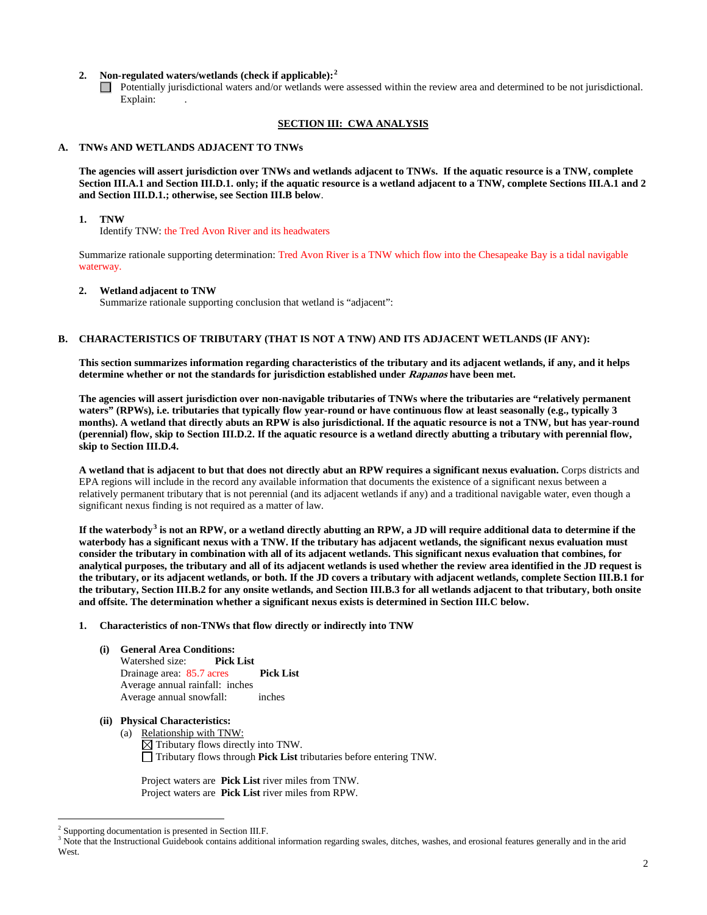## **2. Non-regulated waters/wetlands (check if applicable): [2](#page-1-0)**

Potentially jurisdictional waters and/or wetlands were assessed within the review area and determined to be not jurisdictional. Explain:

## **SECTION III: CWA ANALYSIS**

## **A. TNWs AND WETLANDS ADJACENT TO TNWs**

**The agencies will assert jurisdiction over TNWs and wetlands adjacent to TNWs. If the aquatic resource is a TNW, complete Section III.A.1 and Section III.D.1. only; if the aquatic resource is a wetland adjacent to a TNW, complete Sections III.A.1 and 2 and Section III.D.1.; otherwise, see Section III.B below**.

#### **1. TNW**

Identify TNW: the Tred Avon River and its headwaters

Summarize rationale supporting determination: Tred Avon River is a TNW which flow into the Chesapeake Bay is a tidal navigable waterway.

#### **2. Wetland adjacent to TNW**

Summarize rationale supporting conclusion that wetland is "adjacent":

## **B. CHARACTERISTICS OF TRIBUTARY (THAT IS NOT A TNW) AND ITS ADJACENT WETLANDS (IF ANY):**

**This section summarizes information regarding characteristics of the tributary and its adjacent wetlands, if any, and it helps determine whether or not the standards for jurisdiction established under Rapanos have been met.** 

**The agencies will assert jurisdiction over non-navigable tributaries of TNWs where the tributaries are "relatively permanent waters" (RPWs), i.e. tributaries that typically flow year-round or have continuous flow at least seasonally (e.g., typically 3 months). A wetland that directly abuts an RPW is also jurisdictional. If the aquatic resource is not a TNW, but has year-round (perennial) flow, skip to Section III.D.2. If the aquatic resource is a wetland directly abutting a tributary with perennial flow, skip to Section III.D.4.** 

**A wetland that is adjacent to but that does not directly abut an RPW requires a significant nexus evaluation.** Corps districts and EPA regions will include in the record any available information that documents the existence of a significant nexus between a relatively permanent tributary that is not perennial (and its adjacent wetlands if any) and a traditional navigable water, even though a significant nexus finding is not required as a matter of law.

**If the waterbody[3](#page-1-1) is not an RPW, or a wetland directly abutting an RPW, a JD will require additional data to determine if the waterbody has a significant nexus with a TNW. If the tributary has adjacent wetlands, the significant nexus evaluation must consider the tributary in combination with all of its adjacent wetlands. This significant nexus evaluation that combines, for analytical purposes, the tributary and all of its adjacent wetlands is used whether the review area identified in the JD request is the tributary, or its adjacent wetlands, or both. If the JD covers a tributary with adjacent wetlands, complete Section III.B.1 for the tributary, Section III.B.2 for any onsite wetlands, and Section III.B.3 for all wetlands adjacent to that tributary, both onsite and offsite. The determination whether a significant nexus exists is determined in Section III.C below.**

#### **1. Characteristics of non-TNWs that flow directly or indirectly into TNW**

**(i) General Area Conditions:** Watershed size: **Pick List** Drainage area: 85.7 acres **Pick List** Average annual rainfall: inches Average annual snowfall: inches

## **(ii) Physical Characteristics:**

(a) Relationship with TNW:  $\boxtimes$  Tributary flows directly into TNW. Tributary flows through **Pick List** tributaries before entering TNW.

Project waters are **Pick List** river miles from TNW. Project waters are **Pick List** river miles from RPW.

<span id="page-1-0"></span> <sup>2</sup> Supporting documentation is presented in Section III.F.

<span id="page-1-1"></span><sup>&</sup>lt;sup>3</sup> Note that the Instructional Guidebook contains additional information regarding swales, ditches, washes, and erosional features generally and in the arid West.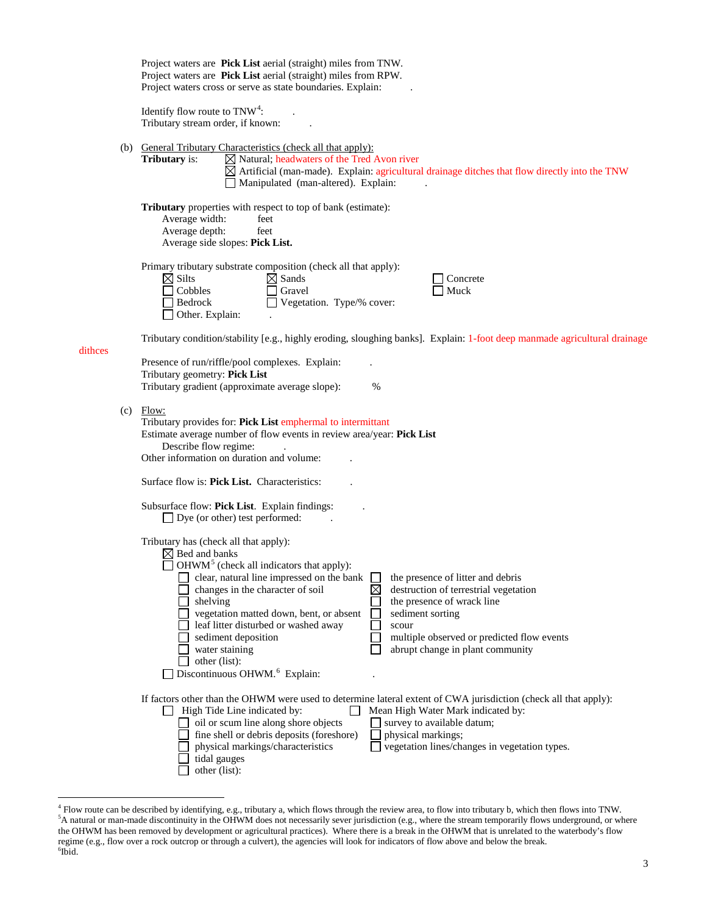|         | Project waters are Pick List aerial (straight) miles from TNW.<br>Project waters are Pick List aerial (straight) miles from RPW.<br>Project waters cross or serve as state boundaries. Explain:                                                                                                                                                                                                                                                                                                                                                                                                                                                          |
|---------|----------------------------------------------------------------------------------------------------------------------------------------------------------------------------------------------------------------------------------------------------------------------------------------------------------------------------------------------------------------------------------------------------------------------------------------------------------------------------------------------------------------------------------------------------------------------------------------------------------------------------------------------------------|
|         | Identify flow route to $TNW4$ :<br>Tributary stream order, if known:                                                                                                                                                                                                                                                                                                                                                                                                                                                                                                                                                                                     |
|         | (b) General Tributary Characteristics (check all that apply):<br><b>Tributary</b> is:<br>$\boxtimes$ Natural; headwaters of the Tred Avon river<br>$\boxtimes$ Artificial (man-made). Explain: agricultural drainage ditches that flow directly into the TNW<br>Manipulated (man-altered). Explain:                                                                                                                                                                                                                                                                                                                                                      |
|         | Tributary properties with respect to top of bank (estimate):<br>Average width:<br>feet<br>Average depth:<br>feet<br>Average side slopes: Pick List.                                                                                                                                                                                                                                                                                                                                                                                                                                                                                                      |
|         | Primary tributary substrate composition (check all that apply):<br>$\boxtimes$ Silts<br>$\boxtimes$ Sands<br>Concrete<br>Cobbles<br>Gravel<br>Muck<br>Vegetation. Type/% cover:<br>Bedrock<br>$\Box$ Other. Explain:                                                                                                                                                                                                                                                                                                                                                                                                                                     |
| dithces | Tributary condition/stability [e.g., highly eroding, sloughing banks]. Explain: 1-foot deep manmade agricultural drainage                                                                                                                                                                                                                                                                                                                                                                                                                                                                                                                                |
|         | Presence of run/riffle/pool complexes. Explain:<br>Tributary geometry: Pick List<br>Tributary gradient (approximate average slope):<br>%                                                                                                                                                                                                                                                                                                                                                                                                                                                                                                                 |
|         | $(c)$ Flow:<br>Tributary provides for: Pick List emphermal to intermittant<br>Estimate average number of flow events in review area/year: Pick List<br>Describe flow regime:<br>Other information on duration and volume:                                                                                                                                                                                                                                                                                                                                                                                                                                |
|         | Surface flow is: Pick List. Characteristics:                                                                                                                                                                                                                                                                                                                                                                                                                                                                                                                                                                                                             |
|         | Subsurface flow: Pick List. Explain findings:<br>$\Box$ Dye (or other) test performed:                                                                                                                                                                                                                                                                                                                                                                                                                                                                                                                                                                   |
|         | Tributary has (check all that apply):<br>$\boxtimes$ Bed and banks<br>$\Box$ OHWM <sup>5</sup> (check all indicators that apply):<br>the presence of litter and debris<br>clear, natural line impressed on the bank<br>changes in the character of soil<br>⋉<br>destruction of terrestrial vegetation<br>shelving<br>the presence of wrack line<br>vegetation matted down, bent, or absent<br>sediment sorting<br>leaf litter disturbed or washed away<br>scour<br>sediment deposition<br>multiple observed or predicted flow events<br>water staining<br>abrupt change in plant community<br>other (list):<br>Discontinuous OHWM. <sup>6</sup> Explain: |
|         | If factors other than the OHWM were used to determine lateral extent of CWA jurisdiction (check all that apply):<br>High Tide Line indicated by:<br>Mean High Water Mark indicated by:<br>oil or scum line along shore objects<br>survey to available datum;<br>fine shell or debris deposits (foreshore)<br>physical markings;<br>vegetation lines/changes in vegetation types.<br>physical markings/characteristics<br>tidal gauges<br>other (list):                                                                                                                                                                                                   |

<span id="page-2-2"></span><span id="page-2-1"></span><span id="page-2-0"></span><sup>&</sup>lt;sup>4</sup> Flow route can be described by identifying, e.g., tributary a, which flows through the review area, to flow into tributary b, which then flows into TNW.<br><sup>5</sup>A natural or man-made discontinuity in the OHWM does not neces the OHWM has been removed by development or agricultural practices). Where there is a break in the OHWM that is unrelated to the waterbody's flow regime (e.g., flow over a rock outcrop or through a culvert), the agencies will look for indicators of flow above and below the break. <sup>6</sup>  $6$ Ibid.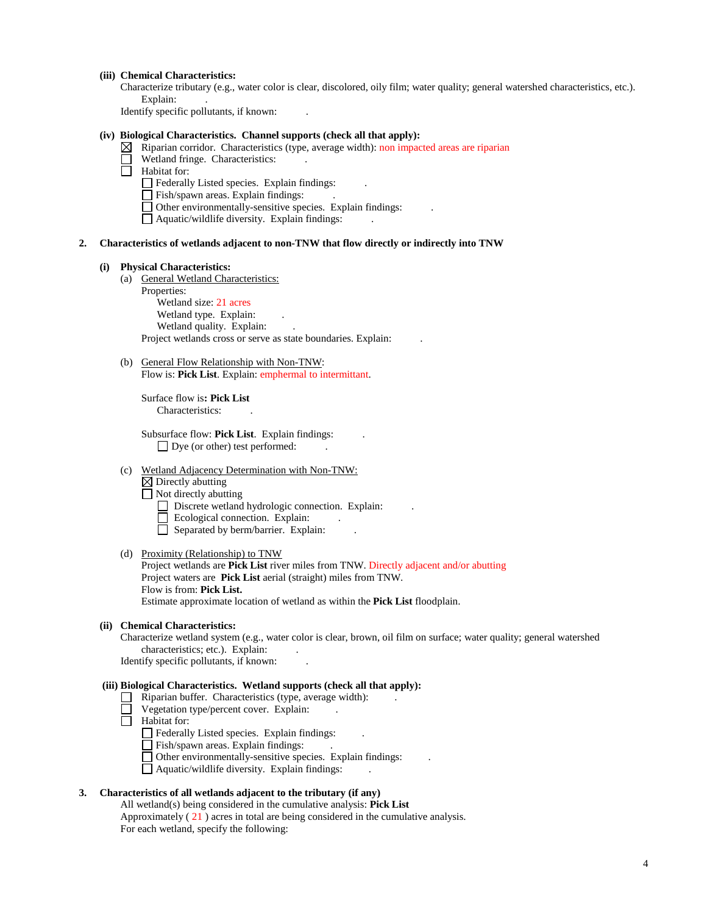## **(iii) Chemical Characteristics:**

Characterize tributary (e.g., water color is clear, discolored, oily film; water quality; general watershed characteristics, etc.). Explain:

Identify specific pollutants, if known: .

## **(iv) Biological Characteristics. Channel supports (check all that apply):**

- $\boxtimes$  Riparian corridor. Characteristics (type, average width): non impacted areas are riparian
	- Wetland fringe. Characteristics:
- П. Habitat for:
	- $\Box$  Federally Listed species. Explain findings:
	- Fish/spawn areas. Explain findings:
	- $\Box$  Other environmentally-sensitive species. Explain findings:
	- $\hfill\Box$  <br> Aquatic/wildlife diversity. Explain findings:

#### **2. Characteristics of wetlands adjacent to non-TNW that flow directly or indirectly into TNW**

#### **(i) Physical Characteristics:**

(a) General Wetland Characteristics: Properties:

Wetland size: 21 acres Wetland type. Explain: Wetland quality. Explain: Project wetlands cross or serve as state boundaries. Explain: .

(b) General Flow Relationship with Non-TNW: Flow is: **Pick List**. Explain: emphermal to intermittant.

Surface flow is**: Pick List**  Characteristics: .

Subsurface flow: **Pick List**. Explain findings: .  $\Box$  Dye (or other) test performed:

(c) Wetland Adjacency Determination with Non-TNW:

 $\boxtimes$  Directly abutting

Not directly abutting

- Discrete wetland hydrologic connection. Explain:
- Ecological connection. Explain:
- $\Box$  Separated by berm/barrier. Explain:

## (d) Proximity (Relationship) to TNW

Project wetlands are **Pick List** river miles from TNW. Directly adjacent and/or abutting Project waters are **Pick List** aerial (straight) miles from TNW. Flow is from: **Pick List.** Estimate approximate location of wetland as within the **Pick List** floodplain.

#### **(ii) Chemical Characteristics:**

Characterize wetland system (e.g., water color is clear, brown, oil film on surface; water quality; general watershed characteristics; etc.). Explain:

Identify specific pollutants, if known: .

## **(iii) Biological Characteristics. Wetland supports (check all that apply):**

- $\Box$  Riparian buffer. Characteristics (type, average width):
- $\Box$  Vegetation type/percent cover. Explain:
- $\overline{\Box}$  Habitat for:
	- Federally Listed species. Explain findings: .
	- Fish/spawn areas. Explain findings: .
	- Other environmentally-sensitive species. Explain findings: .
	- $\Box$  Aquatic/wildlife diversity. Explain findings:

## **3. Characteristics of all wetlands adjacent to the tributary (if any)**

All wetland(s) being considered in the cumulative analysis: **Pick List** Approximately ( 21 ) acres in total are being considered in the cumulative analysis. For each wetland, specify the following: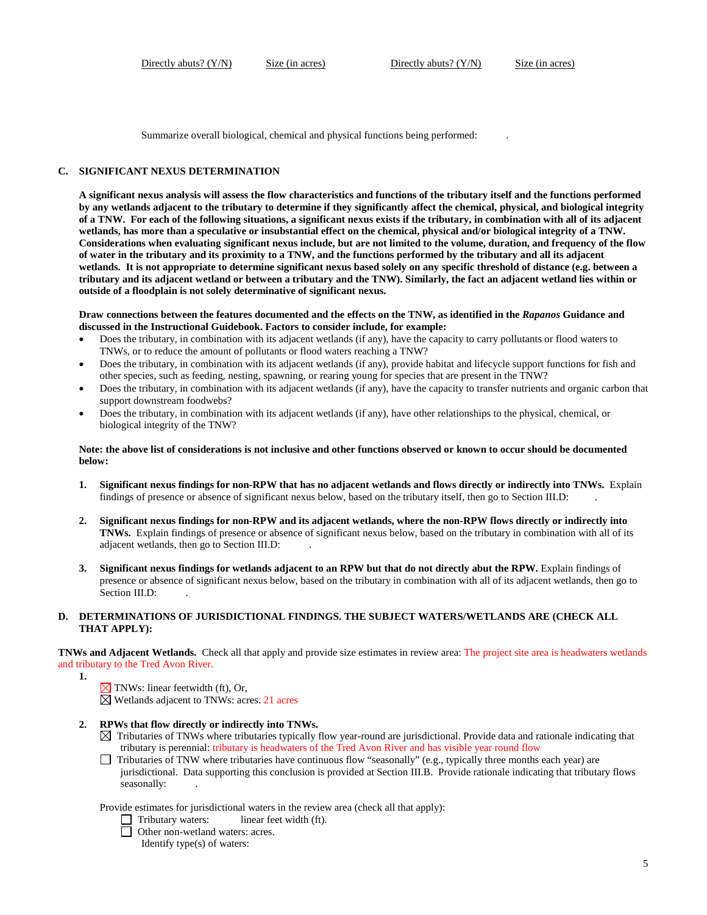Summarize overall biological, chemical and physical functions being performed: .

## **C. SIGNIFICANT NEXUS DETERMINATION**

**A significant nexus analysis will assess the flow characteristics and functions of the tributary itself and the functions performed by any wetlands adjacent to the tributary to determine if they significantly affect the chemical, physical, and biological integrity of a TNW. For each of the following situations, a significant nexus exists if the tributary, in combination with all of its adjacent wetlands, has more than a speculative or insubstantial effect on the chemical, physical and/or biological integrity of a TNW. Considerations when evaluating significant nexus include, but are not limited to the volume, duration, and frequency of the flow of water in the tributary and its proximity to a TNW, and the functions performed by the tributary and all its adjacent wetlands. It is not appropriate to determine significant nexus based solely on any specific threshold of distance (e.g. between a tributary and its adjacent wetland or between a tributary and the TNW). Similarly, the fact an adjacent wetland lies within or outside of a floodplain is not solely determinative of significant nexus.** 

#### **Draw connections between the features documented and the effects on the TNW, as identified in the** *Rapanos* **Guidance and discussed in the Instructional Guidebook. Factors to consider include, for example:**

- Does the tributary, in combination with its adjacent wetlands (if any), have the capacity to carry pollutants or flood waters to TNWs, or to reduce the amount of pollutants or flood waters reaching a TNW?
- Does the tributary, in combination with its adjacent wetlands (if any), provide habitat and lifecycle support functions for fish and other species, such as feeding, nesting, spawning, or rearing young for species that are present in the TNW?
- Does the tributary, in combination with its adjacent wetlands (if any), have the capacity to transfer nutrients and organic carbon that support downstream foodwebs?
- Does the tributary, in combination with its adjacent wetlands (if any), have other relationships to the physical, chemical, or biological integrity of the TNW?

#### **Note: the above list of considerations is not inclusive and other functions observed or known to occur should be documented below:**

- **1. Significant nexus findings for non-RPW that has no adjacent wetlands and flows directly or indirectly into TNWs.** Explain findings of presence or absence of significant nexus below, based on the tributary itself, then go to Section III.D: .
- **2. Significant nexus findings for non-RPW and its adjacent wetlands, where the non-RPW flows directly or indirectly into TNWs.** Explain findings of presence or absence of significant nexus below, based on the tributary in combination with all of its adjacent wetlands, then go to Section III.D: .
- **3. Significant nexus findings for wetlands adjacent to an RPW but that do not directly abut the RPW.** Explain findings of presence or absence of significant nexus below, based on the tributary in combination with all of its adjacent wetlands, then go to Section III.D:

## **D. DETERMINATIONS OF JURISDICTIONAL FINDINGS. THE SUBJECT WATERS/WETLANDS ARE (CHECK ALL THAT APPLY):**

**TNWs and Adjacent Wetlands.** Check all that apply and provide size estimates in review area: The project site area is headwaters wetlands and tributary to the Tred Avon River.

- **1.**
- $\sqrt{\ }$  TNWs: linear feetwidth (ft), Or,

 $\overline{\boxtimes}$  Wetlands adjacent to TNWs: acres. 21 acres

## **2. RPWs that flow directly or indirectly into TNWs.**

- $\boxtimes$  Tributaries of TNWs where tributaries typically flow year-round are jurisdictional. Provide data and rationale indicating that tributary is perennial: tributary is headwaters of the Tred Avon River and has visible year round flow
- $\Box$  Tributaries of TNW where tributaries have continuous flow "seasonally" (e.g., typically three months each year) are jurisdictional. Data supporting this conclusion is provided at Section III.B. Provide rationale indicating that tributary flows seasonally: .

Provide estimates for jurisdictional waters in the review area (check all that apply):

- $\Box$  Tributary waters: linear feet width (ft).
- □ Other non-wetland waters: acres.

Identify type(s) of waters: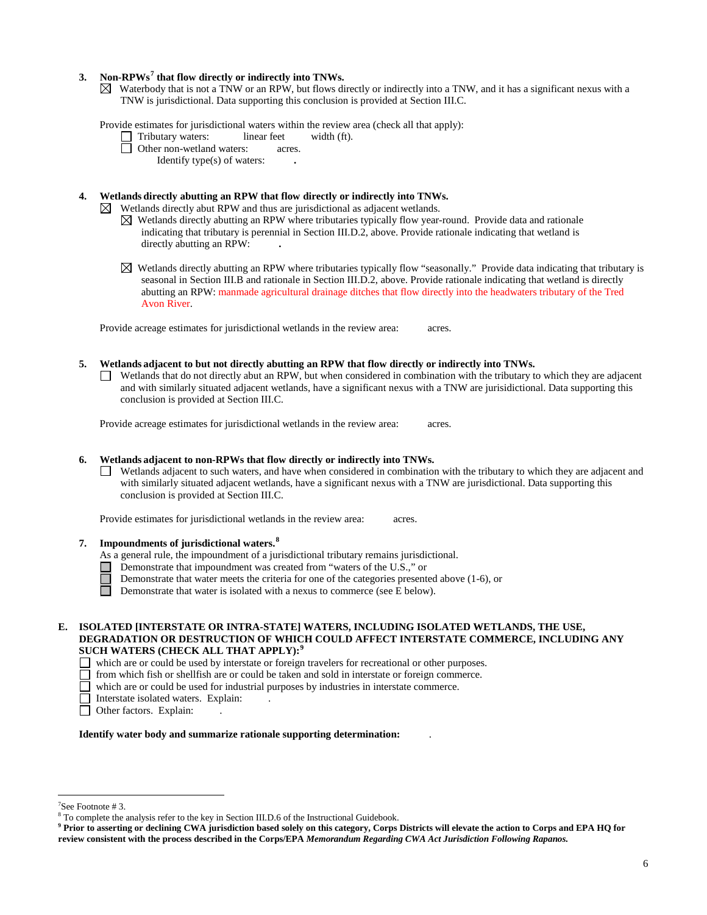## **3. Non-RPWs[7](#page-5-0) that flow directly or indirectly into TNWs.**

 $\boxtimes$  Waterbody that is not a TNW or an RPW, but flows directly or indirectly into a TNW, and it has a significant nexus with a TNW is jurisdictional. Data supporting this conclusion is provided at Section III.C.

Provide estimates for jurisdictional waters within the review area (check all that apply):

- Tributary waters: linear feet width (ft).
- □ Other non-wetland waters: acres.

Identify type(s) of waters: **.**

## **4. Wetlands directly abutting an RPW that flow directly or indirectly into TNWs.**

 $\boxtimes$  Wetlands directly abut RPW and thus are jurisdictional as adjacent wetlands.

- $\boxtimes$  Wetlands directly abutting an RPW where tributaries typically flow year-round. Provide data and rationale indicating that tributary is perennial in Section III.D.2, above. Provide rationale indicating that wetland is directly abutting an RPW: **.**
- $\boxtimes$  Wetlands directly abutting an RPW where tributaries typically flow "seasonally." Provide data indicating that tributary is seasonal in Section III.B and rationale in Section III.D.2, above. Provide rationale indicating that wetland is directly abutting an RPW: manmade agricultural drainage ditches that flow directly into the headwaters tributary of the Tred Avon River.

Provide acreage estimates for jurisdictional wetlands in the review area: acres.

- **5. Wetlands adjacent to but not directly abutting an RPW that flow directly or indirectly into TNWs.**
	- Wetlands that do not directly abut an RPW, but when considered in combination with the tributary to which they are adjacent and with similarly situated adjacent wetlands, have a significant nexus with a TNW are jurisidictional. Data supporting this conclusion is provided at Section III.C.

Provide acreage estimates for jurisdictional wetlands in the review area: acres.

#### **6. Wetlands adjacent to non-RPWs that flow directly or indirectly into TNWs.**

Wetlands adjacent to such waters, and have when considered in combination with the tributary to which they are adjacent and with similarly situated adjacent wetlands, have a significant nexus with a TNW are jurisdictional. Data supporting this conclusion is provided at Section III.C.

Provide estimates for jurisdictional wetlands in the review area: acres.

- **7. Impoundments of jurisdictional waters. [8](#page-5-1)**
	- As a general rule, the impoundment of a jurisdictional tributary remains jurisdictional.
	- Demonstrate that impoundment was created from "waters of the U.S.," or
	- Demonstrate that water meets the criteria for one of the categories presented above (1-6), or
	- n Demonstrate that water is isolated with a nexus to commerce (see E below).
- **E. ISOLATED [INTERSTATE OR INTRA-STATE] WATERS, INCLUDING ISOLATED WETLANDS, THE USE, DEGRADATION OR DESTRUCTION OF WHICH COULD AFFECT INTERSTATE COMMERCE, INCLUDING ANY SUCH WATERS (CHECK ALL THAT APPLY):[9](#page-5-2)**
	- which are or could be used by interstate or foreign travelers for recreational or other purposes.<br>  $\Box$  from which fish or shellfish are or could be taken and sold in interstate or foreign commerce.
	- from which fish or shellfish are or could be taken and sold in interstate or foreign commerce.
	- which are or could be used for industrial purposes by industries in interstate commerce.
	- Interstate isolated waters. Explain:
	- Other factors. Explain:

#### **Identify water body and summarize rationale supporting determination:** .

<sup>-&</sup>lt;br>7

<span id="page-5-0"></span><sup>&</sup>lt;sup>7</sup>See Footnote # 3.<br><sup>8</sup> To complete the analysis refer to the key in Section III.D.6 of the Instructional Guidebook.

<span id="page-5-2"></span><span id="page-5-1"></span>**<sup>9</sup> Prior to asserting or declining CWA jurisdiction based solely on this category, Corps Districts will elevate the action to Corps and EPA HQ for review consistent with the process described in the Corps/EPA** *Memorandum Regarding CWA Act Jurisdiction Following Rapanos.*